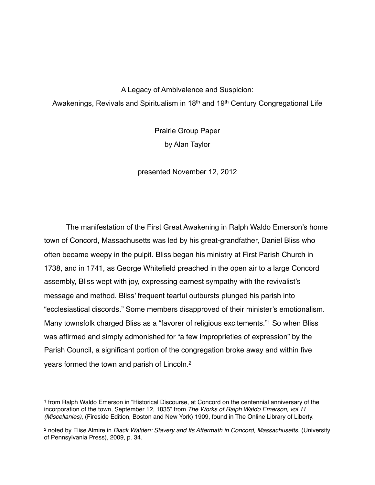A Legacy of Ambivalence and Suspicion: Awakenings, Revivals and Spiritualism in 18<sup>th</sup> and 19<sup>th</sup> Century Congregational Life

> Prairie Group Paper by Alan Taylor

presented November 12, 2012

The manifestation of the First Great Awakening in Ralph Waldo Emerson's home town of Concord, Massachusetts was led by his great-grandfather, Daniel Bliss who often became weepy in the pulpit. Bliss began his ministry at First Parish Church in 1738, and in 1741, as George Whitefield preached in the open air to a large Concord assembly, Bliss wept with joy, expressing earnest sympathy with the revivalist's message and method. Bliss' frequent tearful outbursts plunged his parish into "ecclesiastical discords." Some members disapproved of their minister's emotionalism. Many townsfolk charged Bliss as a "favorer of religious excitements."[1](#page-0-0) So when Bliss was affirmed and simply admonished for "a few improprieties of expression" by the Parish Council, a significant portion of the congregation broke away and within five years formed the town and parish of Lincoln[.2](#page-0-1)

<span id="page-0-0"></span><sup>1</sup> from Ralph Waldo Emerson in "Historical Discourse, at Concord on the centennial anniversary of the incorporation of the town, September 12, 1835" from *The Works of Ralph Waldo Emerson, vol 11 (Miscellanies)*, (Fireside Edition, Boston and New York) 1909, found in The Online Library of Liberty.

<span id="page-0-1"></span><sup>2</sup> noted by Elise Almire in *Black Walden: Slavery and Its Aftermath in Concord, Massachusetts*, (University of Pennsylvania Press), 2009, p. 34.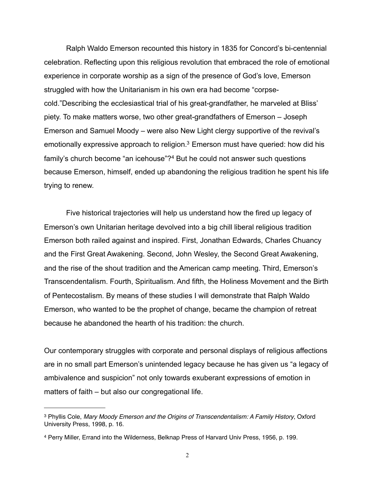Ralph Waldo Emerson recounted this history in 1835 for Concord's bi-centennial celebration. Reflecting upon this religious revolution that embraced the role of emotional experience in corporate worship as a sign of the presence of God's love, Emerson struggled with how the Unitarianism in his own era had become "corpsecold."Describing the ecclesiastical trial of his great-grandfather, he marveled at Bliss' piety. To make matters worse, two other great-grandfathers of Emerson – Joseph Emerson and Samuel Moody – were also New Light clergy supportive of the revival's emotionally expressive approach to religion.<sup>3</sup> Emerson must have queried: how did his family's church become "an icehouse"?[4](#page-1-1) But he could not answer such questions because Emerson, himself, ended up abandoning the religious tradition he spent his life trying to renew.

Five historical trajectories will help us understand how the fired up legacy of Emerson's own Unitarian heritage devolved into a big chill liberal religious tradition Emerson both railed against and inspired. First, Jonathan Edwards, Charles Chuancy and the First Great Awakening. Second, John Wesley, the Second Great Awakening, and the rise of the shout tradition and the American camp meeting. Third, Emerson's Transcendentalism. Fourth, Spiritualism. And fifth, the Holiness Movement and the Birth of Pentecostalism. By means of these studies I will demonstrate that Ralph Waldo Emerson, who wanted to be the prophet of change, became the champion of retreat because he abandoned the hearth of his tradition: the church.

Our contemporary struggles with corporate and personal displays of religious affections are in no small part Emerson's unintended legacy because he has given us "a legacy of ambivalence and suspicion" not only towards exuberant expressions of emotion in matters of faith – but also our congregational life.

<span id="page-1-0"></span><sup>3</sup> Phyllis Cole, *Mary Moody Emerson and the Origins of Transcendentalism: A Family History*, Oxford University Press, 1998, p. 16.

<span id="page-1-1"></span><sup>4</sup> Perry Miller, Errand into the Wilderness, Belknap Press of Harvard Univ Press, 1956, p. 199.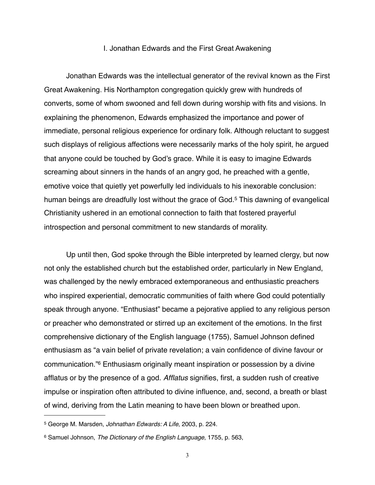### I. Jonathan Edwards and the First Great Awakening

Jonathan Edwards was the intellectual generator of the revival known as the First Great Awakening. His Northampton congregation quickly grew with hundreds of converts, some of whom swooned and fell down during worship with fits and visions. In explaining the phenomenon, Edwards emphasized the importance and power of immediate, personal religious experience for ordinary folk. Although reluctant to suggest such displays of religious affections were necessarily marks of the holy spirit, he argued that anyone could be touched by God's grace. While it is easy to imagine Edwards screaming about sinners in the hands of an angry god, he preached with a gentle, emotive voice that quietly yet powerfully led individuals to his inexorable conclusion: human beings are dreadfully lost without the grace of God.<sup>[5](#page-2-0)</sup> This dawning of evangelical Christianity ushered in an emotional connection to faith that fostered prayerful introspection and personal commitment to new standards of morality.

Up until then, God spoke through the Bible interpreted by learned clergy, but now not only the established church but the established order, particularly in New England, was challenged by the newly embraced extemporaneous and enthusiastic preachers who inspired experiential, democratic communities of faith where God could potentially speak through anyone. "Enthusiast" became a pejorative applied to any religious person or preacher who demonstrated or stirred up an excitement of the emotions. In the first comprehensive dictionary of the English language (1755), Samuel Johnson defined enthusiasm as "a vain belief of private revelation; a vain confidence of divine favour or communication.["6](#page-2-1) Enthusiasm originally meant inspiration or possession by a divine afflatus or by the presence of a god. *Afflatus* signifies, first, a sudden rush of creative impulse or inspiration often attributed to divine influence, and, second, a breath or blast of wind, deriving from the Latin meaning to have been blown or breathed upon.

<span id="page-2-0"></span><sup>5</sup> George M. Marsden, *Johnathan Edwards: A Life*, 2003, p. 224.

<span id="page-2-1"></span><sup>6</sup> Samuel Johnson, *The Dictionary of the English Language*, 1755, p. 563,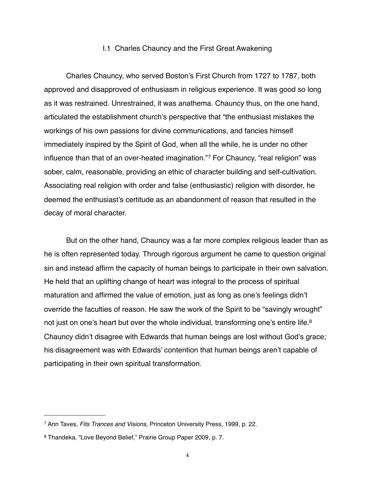#### I.1 Charles Chauncy and the First Great Awakening

Charles Chauncy, who served Boston's First Church from 1727 to 1787, both approved and disapproved of enthusiasm in religious experience. It was good so long as it was restrained. Unrestrained, it was anathema. Chauncy thus, on the one hand, articulated the establishment church's perspective that "the enthusiast mistakes the workings of his own passions for divine communications, and fancies himself immediately inspired by the Spirit of God, when all the while, he is under no other influence than that of an over-heated imagination."[7](#page-3-0) For Chauncy, "real religion" was sober, calm, reasonable, providing an ethic of character building and self-cultivation. Associating real religion with order and false (enthusiastic) religion with disorder, he deemed the enthusiast's certitude as an abandonment of reason that resulted in the decay of moral character.

But on the other hand, Chauncy was a far more complex religious leader than as he is often represented today. Through rigorous argument he came to question original sin and instead affirm the capacity of human beings to participate in their own salvation. He held that an uplifting change of heart was integral to the process of spiritual maturation and affirmed the value of emotion, just as long as one's feelings didn't override the faculties of reason. He saw the work of the Spirit to be "savingly wrought" not just on one's heart but over the whole individual, transforming one's entire life.<sup>8</sup> Chauncy didn't disagree with Edwards that human beings are lost without God's grace; his disagreement was with Edwards' contention that human beings aren't capable of participating in their own spiritual transformation.

<span id="page-3-0"></span><sup>7</sup> Ann Taves, *Fits Trances and Visions*, Princeton University Press, 1999, p. 22.

<span id="page-3-1"></span><sup>8</sup> Thandeka, "Love Beyond Belief," Prairie Group Paper 2009, p. 7.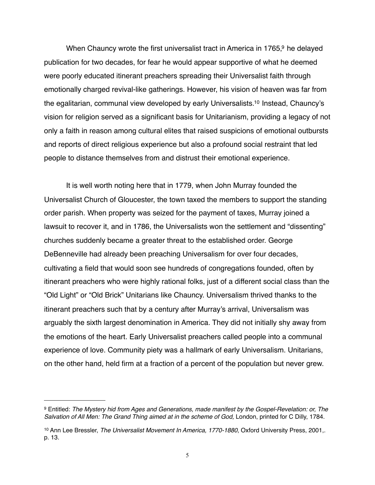When Chauncy wrote the first universalist tract in America in 1765, $9$  he delayed publication for two decades, for fear he would appear supportive of what he deemed were poorly educated itinerant preachers spreading their Universalist faith through emotionally charged revival-like gatherings. However, his vision of heaven was far from the egalitarian, communal view developed by early Universalists[.10](#page-4-1) Instead, Chauncy's vision for religion served as a significant basis for Unitarianism, providing a legacy of not only a faith in reason among cultural elites that raised suspicions of emotional outbursts and reports of direct religious experience but also a profound social restraint that led people to distance themselves from and distrust their emotional experience.

It is well worth noting here that in 1779, when John Murray founded the Universalist Church of Gloucester, the town taxed the members to support the standing order parish. When property was seized for the payment of taxes, Murray joined a lawsuit to recover it, and in 1786, the Universalists won the settlement and "dissenting" churches suddenly became a greater threat to the established order. George DeBenneville had already been preaching Universalism for over four decades, cultivating a field that would soon see hundreds of congregations founded, often by itinerant preachers who were highly rational folks, just of a different social class than the "Old Light" or "Old Brick" Unitarians like Chauncy. Universalism thrived thanks to the itinerant preachers such that by a century after Murray's arrival, Universalism was arguably the sixth largest denomination in America. They did not initially shy away from the emotions of the heart. Early Universalist preachers called people into a communal experience of love. Community piety was a hallmark of early Universalism. Unitarians, on the other hand, held firm at a fraction of a percent of the population but never grew.

<span id="page-4-0"></span><sup>9</sup> Entitled: *The Mystery hid from Ages and Generations, made manifest by the Gospel-Revelation: or, The*  Salvation of All Men: The Grand Thing aimed at in the scheme of God, London, printed for C Dilly, 1784.

<span id="page-4-1"></span><sup>10</sup> Ann Lee Bressler, *The Universalist Movement In America, 1770-1880*, Oxford University Press, 2001,. p. 13.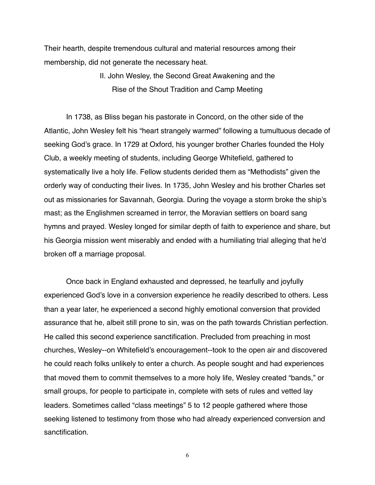Their hearth, despite tremendous cultural and material resources among their membership, did not generate the necessary heat.

> II. John Wesley, the Second Great Awakening and the Rise of the Shout Tradition and Camp Meeting

In 1738, as Bliss began his pastorate in Concord, on the other side of the Atlantic, John Wesley felt his "heart strangely warmed" following a tumultuous decade of seeking God's grace. In 1729 at Oxford, his younger brother Charles founded the Holy Club, a weekly meeting of students, including George Whitefield, gathered to systematically live a holy life. Fellow students derided them as "Methodists" given the orderly way of conducting their lives. In 1735, John Wesley and his brother Charles set out as missionaries for Savannah, Georgia. During the voyage a storm broke the ship's mast; as the Englishmen screamed in terror, the Moravian settlers on board sang hymns and prayed. Wesley longed for similar depth of faith to experience and share, but his Georgia mission went miserably and ended with a humiliating trial alleging that he'd broken off a marriage proposal.

Once back in England exhausted and depressed, he tearfully and joyfully experienced God's love in a conversion experience he readily described to others. Less than a year later, he experienced a second highly emotional conversion that provided assurance that he, albeit still prone to sin, was on the path towards Christian perfection. He called this second experience sanctification. Precluded from preaching in most churches, Wesley--on Whitefield's encouragement--took to the open air and discovered he could reach folks unlikely to enter a church. As people sought and had experiences that moved them to commit themselves to a more holy life, Wesley created "bands," or small groups, for people to participate in, complete with sets of rules and vetted lay leaders. Sometimes called "class meetings" 5 to 12 people gathered where those seeking listened to testimony from those who had already experienced conversion and sanctification.

6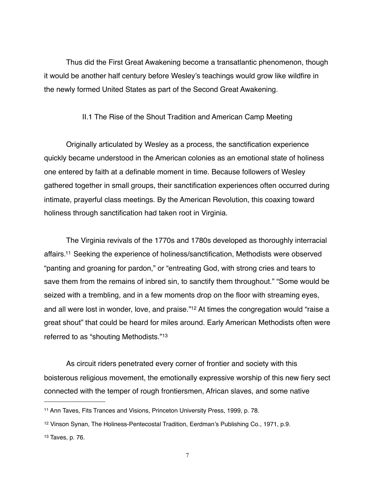Thus did the First Great Awakening become a transatlantic phenomenon, though it would be another half century before Wesley's teachings would grow like wildfire in the newly formed United States as part of the Second Great Awakening.

### II.1 The Rise of the Shout Tradition and American Camp Meeting

Originally articulated by Wesley as a process, the sanctification experience quickly became understood in the American colonies as an emotional state of holiness one entered by faith at a definable moment in time. Because followers of Wesley gathered together in small groups, their sanctification experiences often occurred during intimate, prayerful class meetings. By the American Revolution, this coaxing toward holiness through sanctification had taken root in Virginia.

The Virginia revivals of the 1770s and 1780s developed as thoroughly interracial affairs[.11](#page-6-0) Seeking the experience of holiness/sanctification, Methodists were observed "panting and groaning for pardon," or "entreating God, with strong cries and tears to save them from the remains of inbred sin, to sanctify them throughout." "Some would be seized with a trembling, and in a few moments drop on the floor with streaming eyes, and all were lost in wonder, love, and praise.["12](#page-6-1) At times the congregation would "raise a great shout" that could be heard for miles around. Early American Methodists often were referred to as "shouting Methodists."[13](#page-6-2)

As circuit riders penetrated every corner of frontier and society with this boisterous religious movement, the emotionally expressive worship of this new fiery sect connected with the temper of rough frontiersmen, African slaves, and some native

<span id="page-6-0"></span><sup>11</sup> Ann Taves, Fits Trances and Visions, Princeton University Press, 1999, p. 78.

<span id="page-6-1"></span><sup>12</sup> Vinson Synan, The Holiness-Pentecostal Tradition, Eerdman's Publishing Co., 1971, p.9.

<span id="page-6-2"></span><sup>13</sup> Taves, p. 76.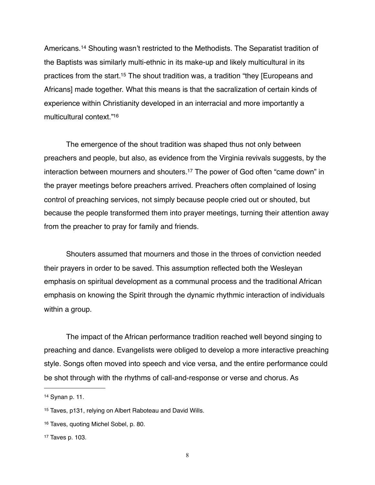Americans[.14](#page-7-0) Shouting wasn't restricted to the Methodists. The Separatist tradition of the Baptists was similarly multi-ethnic in its make-up and likely multicultural in its practices from the start[.15](#page-7-1) The shout tradition was, a tradition "they [Europeans and Africans] made together. What this means is that the sacralization of certain kinds of experience within Christianity developed in an interracial and more importantly a multicultural context.["16](#page-7-2)

The emergence of the shout tradition was shaped thus not only between preachers and people, but also, as evidence from the Virginia revivals suggests, by the interaction between mourners and shouters[.17](#page-7-3) The power of God often "came down" in the prayer meetings before preachers arrived. Preachers often complained of losing control of preaching services, not simply because people cried out or shouted, but because the people transformed them into prayer meetings, turning their attention away from the preacher to pray for family and friends.

Shouters assumed that mourners and those in the throes of conviction needed their prayers in order to be saved. This assumption reflected both the Wesleyan emphasis on spiritual development as a communal process and the traditional African emphasis on knowing the Spirit through the dynamic rhythmic interaction of individuals within a group.

The impact of the African performance tradition reached well beyond singing to preaching and dance. Evangelists were obliged to develop a more interactive preaching style. Songs often moved into speech and vice versa, and the entire performance could be shot through with the rhythms of call-and-response or verse and chorus. As

<span id="page-7-0"></span><sup>14</sup> Synan p. 11.

<span id="page-7-1"></span><sup>15</sup> Taves, p131, relying on Albert Raboteau and David Wills.

<span id="page-7-2"></span><sup>16</sup> Taves, quoting Michel Sobel, p. 80.

<span id="page-7-3"></span><sup>17</sup> Taves p. 103.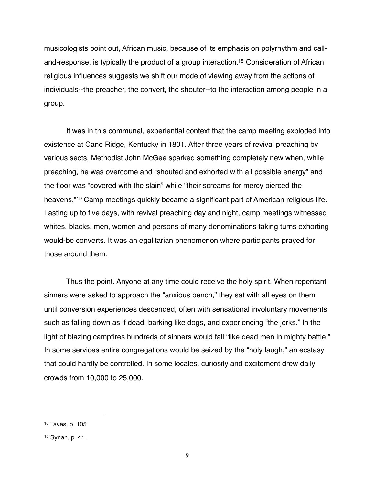musicologists point out, African music, because of its emphasis on polyrhythm and calland-response, is typically the product of a group interaction[.18](#page-8-0) Consideration of African religious influences suggests we shift our mode of viewing away from the actions of individuals--the preacher, the convert, the shouter--to the interaction among people in a group.

It was in this communal, experiential context that the camp meeting exploded into existence at Cane Ridge, Kentucky in 1801. After three years of revival preaching by various sects, Methodist John McGee sparked something completely new when, while preaching, he was overcome and "shouted and exhorted with all possible energy" and the floor was "covered with the slain" while "their screams for mercy pierced the heavens."[19](#page-8-1) Camp meetings quickly became a significant part of American religious life. Lasting up to five days, with revival preaching day and night, camp meetings witnessed whites, blacks, men, women and persons of many denominations taking turns exhorting would-be converts. It was an egalitarian phenomenon where participants prayed for those around them.

Thus the point. Anyone at any time could receive the holy spirit. When repentant sinners were asked to approach the "anxious bench," they sat with all eyes on them until conversion experiences descended, often with sensational involuntary movements such as falling down as if dead, barking like dogs, and experiencing "the jerks." In the light of blazing campfires hundreds of sinners would fall "like dead men in mighty battle." In some services entire congregations would be seized by the "holy laugh," an ecstasy that could hardly be controlled. In some locales, curiosity and excitement drew daily crowds from 10,000 to 25,000.

<span id="page-8-0"></span><sup>18</sup> Taves, p. 105.

<span id="page-8-1"></span><sup>19</sup> Synan, p. 41.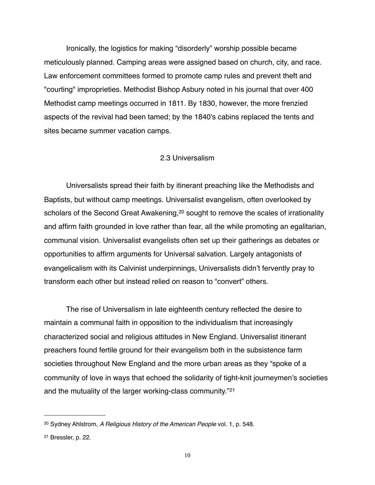Ironically, the logistics for making "disorderly" worship possible became meticulously planned. Camping areas were assigned based on church, city, and race. Law enforcement committees formed to promote camp rules and prevent theft and "courting" improprieties. Methodist Bishop Asbury noted in his journal that over 400 Methodist camp meetings occurred in 1811. By 1830, however, the more frenzied aspects of the revival had been tamed; by the 1840's cabins replaced the tents and sites became summer vacation camps.

## 2.3 Universalism

Universalists spread their faith by itinerant preaching like the Methodists and Baptists, but without camp meetings. Universalist evangelism, often overlooked by scholars of the Second Great Awakening,<sup>20</sup> sought to remove the scales of irrationality and affirm faith grounded in love rather than fear, all the while promoting an egalitarian, communal vision. Universalist evangelists often set up their gatherings as debates or opportunities to affirm arguments for Universal salvation. Largely antagonists of evangelicalism with its Calvinist underpinnings, Universalists didn't fervently pray to transform each other but instead relied on reason to "convert" others.

The rise of Universalism in late eighteenth century reflected the desire to maintain a communal faith in opposition to the individualism that increasingly characterized social and religious attitudes in New England. Universalist itinerant preachers found fertile ground for their evangelism both in the subsistence farm societies throughout New England and the more urban areas as they "spoke of a community of love in ways that echoed the solidarity of tight-knit journeymen's societies and the mutuality of the larger working-class community."[21](#page-9-1)

<span id="page-9-0"></span><sup>20</sup> Sydney Ahlstrom, *A Religious History of the American People* vol. 1, p. 548.

<span id="page-9-1"></span><sup>21</sup> Bressler, p. 22.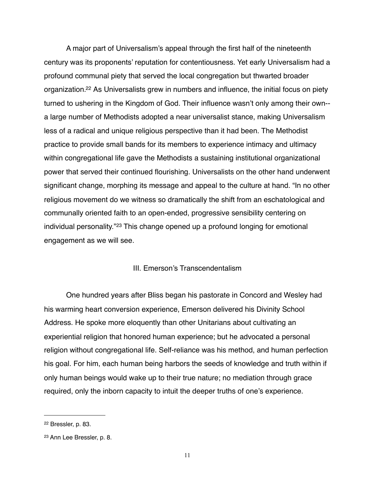A major part of Universalism's appeal through the first half of the nineteenth century was its proponents' reputation for contentiousness. Yet early Universalism had a profound communal piety that served the local congregation but thwarted broader organization[.22](#page-10-0) As Universalists grew in numbers and influence, the initial focus on piety turned to ushering in the Kingdom of God. Their influence wasn't only among their own- a large number of Methodists adopted a near universalist stance, making Universalism less of a radical and unique religious perspective than it had been. The Methodist practice to provide small bands for its members to experience intimacy and ultimacy within congregational life gave the Methodists a sustaining institutional organizational power that served their continued flourishing. Universalists on the other hand underwent significant change, morphing its message and appeal to the culture at hand. "In no other religious movement do we witness so dramatically the shift from an eschatological and communally oriented faith to an openended, progressive sensibility centering on individual personality."[23](#page-10-1) This change opened up a profound longing for emotional engagement as we will see.

# III. Emerson's Transcendentalism

One hundred years after Bliss began his pastorate in Concord and Wesley had his warming heart conversion experience, Emerson delivered his Divinity School Address. He spoke more eloquently than other Unitarians about cultivating an experiential religion that honored human experience; but he advocated a personal religion without congregational life. Self-reliance was his method, and human perfection his goal. For him, each human being harbors the seeds of knowledge and truth within if only human beings would wake up to their true nature; no mediation through grace required, only the inborn capacity to intuit the deeper truths of one's experience.

<span id="page-10-0"></span><sup>22</sup> Bressler, p. 83.

<span id="page-10-1"></span><sup>23</sup> Ann Lee Bressler, p. 8.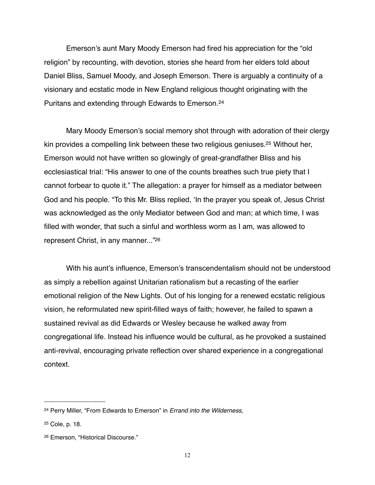Emerson's aunt Mary Moody Emerson had fired his appreciation for the "old religion" by recounting, with devotion, stories she heard from her elders told about Daniel Bliss, Samuel Moody, and Joseph Emerson. There is arguably a continuity of a visionary and ecstatic mode in New England religious thought originating with the Puritans and extending through Edwards to Emerson.[24](#page-11-0)

Mary Moody Emerson's social memory shot through with adoration of their clergy kin provides a compelling link between these two religious geniuses[.25](#page-11-1) Without her, Emerson would not have written so glowingly of great-grandfather Bliss and his ecclesiastical trial: "His answer to one of the counts breathes such true piety that I cannot forbear to quote it." The allegation: a prayer for himself as a mediator between God and his people. "To this Mr. Bliss replied, 'In the prayer you speak of, Jesus Christ was acknowledged as the only Mediator between God and man; at which time, I was filled with wonder, that such a sinful and worthless worm as I am, was allowed to represent Christ, in any manner...["26](#page-11-2)

With his aunt's influence, Emerson's transcendentalism should not be understood as simply a rebellion against Unitarian rationalism but a recasting of the earlier emotional religion of the New Lights. Out of his longing for a renewed ecstatic religious vision, he reformulated new spirit-filled ways of faith; however, he failed to spawn a sustained revival as did Edwards or Wesley because he walked away from congregational life. Instead his influence would be cultural, as he provoked a sustained anti-revival, encouraging private reflection over shared experience in a congregational context.

<span id="page-11-0"></span><sup>24</sup> Perry Miller, "From Edwards to Emerson" in *Errand into the Wilderness*,

<span id="page-11-1"></span><sup>25</sup> Cole, p. 18.

<span id="page-11-2"></span><sup>26</sup> Emerson, "Historical Discourse."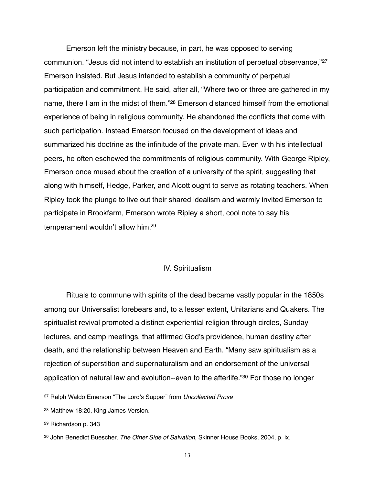Emerson left the ministry because, in part, he was opposed to serving communion. "Jesus did not intend to establish an institution of perpetual observance,"[27](#page-12-0) Emerson insisted. But Jesus intended to establish a community of perpetual participation and commitment. He said, after all, "Where two or three are gathered in my name, there I am in the midst of them.["28](#page-12-1) Emerson distanced himself from the emotional experience of being in religious community. He abandoned the conflicts that come with such participation. Instead Emerson focused on the development of ideas and summarized his doctrine as the infinitude of the private man. Even with his intellectual peers, he often eschewed the commitments of religious community. With George Ripley, Emerson once mused about the creation of a university of the spirit, suggesting that along with himself, Hedge, Parker, and Alcott ought to serve as rotating teachers. When Ripley took the plunge to live out their shared idealism and warmly invited Emerson to participate in Brookfarm, Emerson wrote Ripley a short, cool note to say his temperament wouldn't allow him[.29](#page-12-2)

## IV. Spiritualism

Rituals to commune with spirits of the dead became vastly popular in the 1850s among our Universalist forebears and, to a lesser extent, Unitarians and Quakers. The spiritualist revival promoted a distinct experiential religion through circles, Sunday lectures, and camp meetings, that affirmed God's providence, human destiny after death, and the relationship between Heaven and Earth. "Many saw spiritualism as a rejection of superstition and supernaturalism and an endorsement of the universal application of natural law and evolution--even to the afterlife.["30](#page-12-3) For those no longer

<span id="page-12-0"></span><sup>27</sup> Ralph Waldo Emerson "The Lord's Supper" from *Uncollected Prose*

<span id="page-12-1"></span><sup>28</sup> Matthew 18:20, King James Version.

<span id="page-12-2"></span><sup>29</sup> Richardson p. 343

<span id="page-12-3"></span><sup>30</sup> John Benedict Buescher, *The Other Side of Salvation*, Skinner House Books, 2004, p. ix.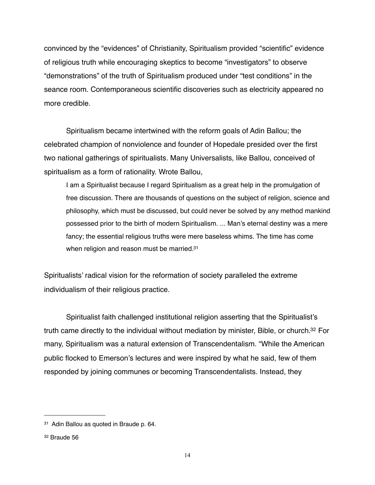convinced by the "evidences" of Christianity, Spiritualism provided "scientific" evidence of religious truth while encouraging skeptics to become "investigators" to observe "demonstrations" of the truth of Spiritualism produced under "test conditions" in the seance room. Contemporaneous scientific discoveries such as electricity appeared no more credible.

Spiritualism became intertwined with the reform goals of Adin Ballou; the celebrated champion of nonviolence and founder of Hopedale presided over the first two national gatherings of spiritualists. Many Universalists, like Ballou, conceived of spiritualism as a form of rationality. Wrote Ballou,

I am a Spiritualist because I regard Spiritualism as a great help in the promulgation of free discussion. There are thousands of questions on the subject of religion, science and philosophy, which must be discussed, but could never be solved by any method mankind possessed prior to the birth of modern Spiritualism. ... Man's eternal destiny was a mere fancy; the essential religious truths were mere baseless whims. The time has come when religion and reason must be married.<sup>31</sup>

Spiritualists' radical vision for the reformation of society paralleled the extreme individualism of their religious practice.

Spiritualist faith challenged institutional religion asserting that the Spiritualist's truth came directly to the individual without mediation by minister, Bible, or church[.32](#page-13-1) For many, Spiritualism was a natural extension of Transcendentalism. "While the American public flocked to Emerson's lectures and were inspired by what he said, few of them responded by joining communes or becoming Transcendentalists. Instead, they

<span id="page-13-0"></span><sup>31</sup> Adin Ballou as quoted in Braude p. 64.

<span id="page-13-1"></span><sup>32</sup> Braude 56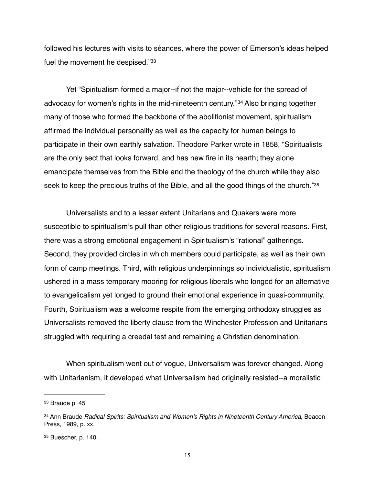followed his lectures with visits to séances, where the power of Emerson's ideas helped fuel the movement he despised.["33](#page-14-0)

Yet "Spiritualism formed a major--if not the major--vehicle for the spread of advocacy for women's rights in the mid-nineteenth century."[34](#page-14-1) Also bringing together many of those who formed the backbone of the abolitionist movement, spiritualism affirmed the individual personality as well as the capacity for human beings to participate in their own earthly salvation. Theodore Parker wrote in 1858, "Spiritualists are the only sect that looks forward, and has new fire in its hearth; they alone emancipate themselves from the Bible and the theology of the church while they also seek to keep the precious truths of the Bible, and all the good things of the church."[35](#page-14-2)

Universalists and to a lesser extent Unitarians and Quakers were more susceptible to spiritualism's pull than other religious traditions for several reasons. First, there was a strong emotional engagement in Spiritualism's "rational" gatherings. Second, they provided circles in which members could participate, as well as their own form of camp meetings. Third, with religious underpinnings so individualistic, spiritualism ushered in a mass temporary mooring for religious liberals who longed for an alternative to evangelicalism yet longed to ground their emotional experience in quasi-community. Fourth, Spiritualism was a welcome respite from the emerging orthodoxy struggles as Universalists removed the liberty clause from the Winchester Profession and Unitarians struggled with requiring a creedal test and remaining a Christian denomination.

When spiritualism went out of vogue, Universalism was forever changed. Along with Unitarianism, it developed what Universalism had originally resisted--a moralistic

<span id="page-14-0"></span><sup>33</sup> Braude p. 45

<span id="page-14-1"></span><sup>34</sup> Ann Braude *Radical Spirits: Spiritualism and Women's Rights in Nineteenth Century America*, Beacon Press, 1989, p. xx.

<span id="page-14-2"></span><sup>35</sup> Buescher, p. 140.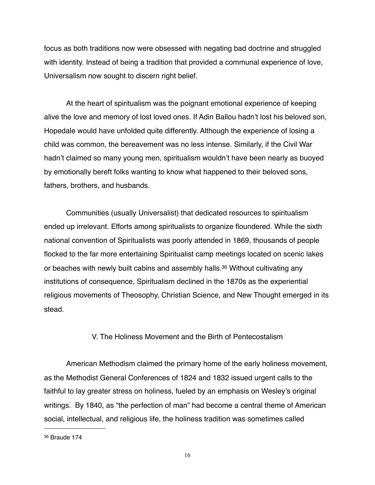focus as both traditions now were obsessed with negating bad doctrine and struggled with identity. Instead of being a tradition that provided a communal experience of love, Universalism now sought to discern right belief.

At the heart of spiritualism was the poignant emotional experience of keeping alive the love and memory of lost loved ones. If Adin Ballou hadn't lost his beloved son, Hopedale would have unfolded quite differently. Although the experience of losing a child was common, the bereavement was no less intense. Similarly, if the Civil War hadn't claimed so many young men, spiritualism wouldn't have been nearly as buoyed by emotionally bereft folks wanting to know what happened to their beloved sons, fathers, brothers, and husbands.

Communities (usually Universalist) that dedicated resources to spiritualism ended up irrelevant. Efforts among spiritualists to organize floundered. While the sixth national convention of Spiritualists was poorly attended in 1869, thousands of people flocked to the far more entertaining Spiritualist camp meetings located on scenic lakes or beaches with newly built cabins and assembly halls.<sup>36</sup> Without cultivating any institutions of consequence, Spiritualism declined in the 1870s as the experiential religious movements of Theosophy, Christian Science, and New Thought emerged in its stead.

## V. The Holiness Movement and the Birth of Pentecostalism

American Methodism claimed the primary home of the early holiness movement, as the Methodist General Conferences of 1824 and 1832 issued urgent calls to the faithful to lay greater stress on holiness, fueled by an emphasis on Wesley's original writings. By 1840, as "the perfection of man" had become a central theme of American social, intellectual, and religious life, the holiness tradition was sometimes called

<span id="page-15-0"></span><sup>36</sup> Braude 174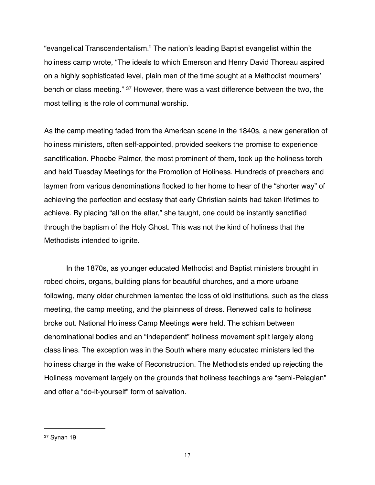"evangelical Transcendentalism." The nation's leading Baptist evangelist within the holiness camp wrote, "The ideals to which Emerson and Henry David Thoreau aspired on a highly sophisticated level, plain men of the time sought at a Methodist mourners' bench or class meeting." [37](#page-16-0) However, there was a vast difference between the two, the most telling is the role of communal worship.

As the camp meeting faded from the American scene in the 1840s, a new generation of holiness ministers, often self-appointed, provided seekers the promise to experience sanctification. Phoebe Palmer, the most prominent of them, took up the holiness torch and held Tuesday Meetings for the Promotion of Holiness. Hundreds of preachers and laymen from various denominations flocked to her home to hear of the "shorter way" of achieving the perfection and ecstasy that early Christian saints had taken lifetimes to achieve. By placing "all on the altar," she taught, one could be instantly sanctified through the baptism of the Holy Ghost. This was not the kind of holiness that the Methodists intended to ignite.

In the 1870s, as younger educated Methodist and Baptist ministers brought in robed choirs, organs, building plans for beautiful churches, and a more urbane following, many older churchmen lamented the loss of old institutions, such as the class meeting, the camp meeting, and the plainness of dress. Renewed calls to holiness broke out. National Holiness Camp Meetings were held. The schism between denominational bodies and an "independent" holiness movement split largely along class lines. The exception was in the South where many educated ministers led the holiness charge in the wake of Reconstruction. The Methodists ended up rejecting the Holiness movement largely on the grounds that holiness teachings are "semi-Pelagian" and offer a "do-it-yourself" form of salvation.

<span id="page-16-0"></span><sup>37</sup> Synan 19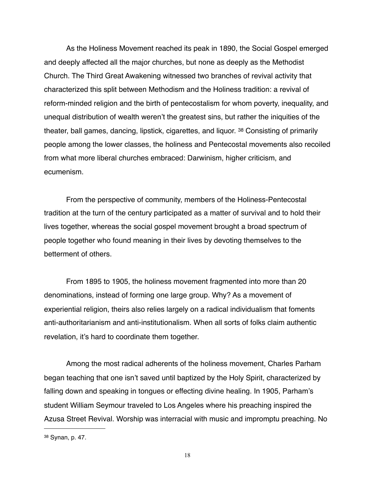As the Holiness Movement reached its peak in 1890, the Social Gospel emerged and deeply affected all the major churches, but none as deeply as the Methodist Church. The Third Great Awakening witnessed two branches of revival activity that characterized this split between Methodism and the Holiness tradition: a revival of reform-minded religion and the birth of pentecostalism for whom poverty, inequality, and unequal distribution of wealth weren't the greatest sins, but rather the iniquities of the theater, ball games, dancing, lipstick, cigarettes, and liquor. [38](#page-17-0) Consisting of primarily people among the lower classes, the holiness and Pentecostal movements also recoiled from what more liberal churches embraced: Darwinism, higher criticism, and ecumenism.

From the perspective of community, members of the Holiness-Pentecostal tradition at the turn of the century participated as a matter of survival and to hold their lives together, whereas the social gospel movement brought a broad spectrum of people together who found meaning in their lives by devoting themselves to the betterment of others.

From 1895 to 1905, the holiness movement fragmented into more than 20 denominations, instead of forming one large group. Why? As a movement of experiential religion, theirs also relies largely on a radical individualism that foments anti-authoritarianism and anti-institutionalism. When all sorts of folks claim authentic revelation, it's hard to coordinate them together.

Among the most radical adherents of the holiness movement, Charles Parham began teaching that one isn't saved until baptized by the Holy Spirit, characterized by falling down and speaking in tongues or effecting divine healing. In 1905, Parham's student William Seymour traveled to Los Angeles where his preaching inspired the Azusa Street Revival. Worship was interracial with music and impromptu preaching. No

<span id="page-17-0"></span><sup>38</sup> Synan, p. 47.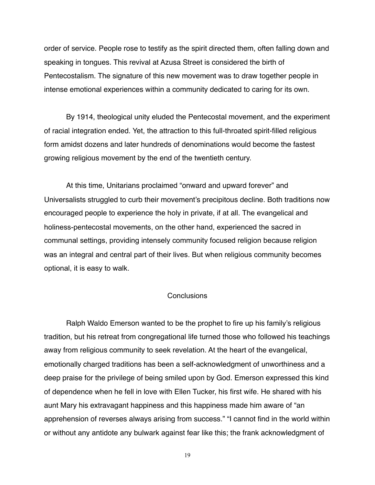order of service. People rose to testify as the spirit directed them, often falling down and speaking in tongues. This revival at Azusa Street is considered the birth of Pentecostalism. The signature of this new movement was to draw together people in intense emotional experiences within a community dedicated to caring for its own.

By 1914, theological unity eluded the Pentecostal movement, and the experiment of racial integration ended. Yet, the attraction to this full-throated spirit-filled religious form amidst dozens and later hundreds of denominations would become the fastest growing religious movement by the end of the twentieth century.

At this time, Unitarians proclaimed "onward and upward forever" and Universalists struggled to curb their movement's precipitous decline. Both traditions now encouraged people to experience the holy in private, if at all. The evangelical and holiness-pentecostal movements, on the other hand, experienced the sacred in communal settings, providing intensely community focused religion because religion was an integral and central part of their lives. But when religious community becomes optional, it is easy to walk.

### **Conclusions**

Ralph Waldo Emerson wanted to be the prophet to fire up his family's religious tradition, but his retreat from congregational life turned those who followed his teachings away from religious community to seek revelation. At the heart of the evangelical, emotionally charged traditions has been a self-acknowledgment of unworthiness and a deep praise for the privilege of being smiled upon by God. Emerson expressed this kind of dependence when he fell in love with Ellen Tucker, his first wife. He shared with his aunt Mary his extravagant happiness and this happiness made him aware of "an apprehension of reverses always arising from success." "I cannot find in the world within or without any antidote any bulwark against fear like this; the frank acknowledgment of

19